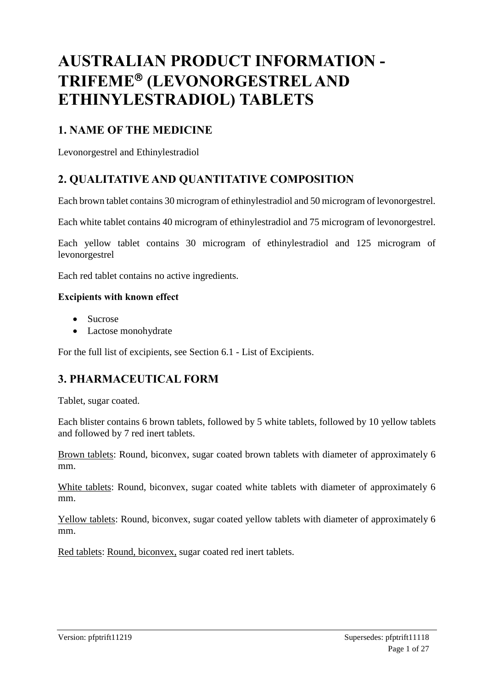# **AUSTRALIAN PRODUCT INFORMATION - TRIFEME (LEVONORGESTREL AND ETHINYLESTRADIOL) TABLETS**

## **1. NAME OF THE MEDICINE**

Levonorgestrel and Ethinylestradiol

## **2. QUALITATIVE AND QUANTITATIVE COMPOSITION**

Each brown tablet contains 30 microgram of ethinylestradiol and 50 microgram of levonorgestrel.

Each white tablet contains 40 microgram of ethinylestradiol and 75 microgram of levonorgestrel.

Each yellow tablet contains 30 microgram of ethinylestradiol and 125 microgram of levonorgestrel

Each red tablet contains no active ingredients.

#### **Excipients with known effect**

- Sucrose
- Lactose monohydrate

For the full list of excipients, see Section 6.1 - List of Excipients.

## **3. PHARMACEUTICAL FORM**

Tablet, sugar coated.

Each blister contains 6 brown tablets, followed by 5 white tablets, followed by 10 yellow tablets and followed by 7 red inert tablets.

Brown tablets: Round, biconvex, sugar coated brown tablets with diameter of approximately 6 mm.

White tablets: Round, biconvex, sugar coated white tablets with diameter of approximately 6 mm.

Yellow tablets: Round, biconvex, sugar coated yellow tablets with diameter of approximately 6 mm.

Red tablets: Round, biconvex, sugar coated red inert tablets.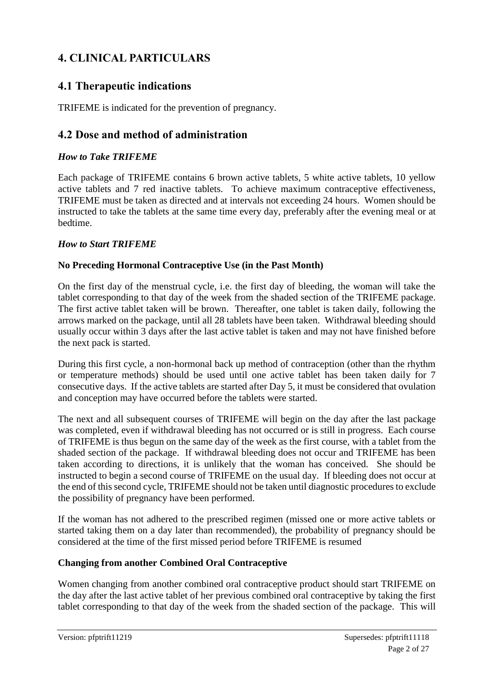## **4. CLINICAL PARTICULARS**

## **4.1 Therapeutic indications**

TRIFEME is indicated for the prevention of pregnancy.

## **4.2 Dose and method of administration**

## *How to Take TRIFEME*

Each package of TRIFEME contains 6 brown active tablets, 5 white active tablets, 10 yellow active tablets and 7 red inactive tablets. To achieve maximum contraceptive effectiveness, TRIFEME must be taken as directed and at intervals not exceeding 24 hours. Women should be instructed to take the tablets at the same time every day, preferably after the evening meal or at bedtime.

## *How to Start TRIFEME*

## **No Preceding Hormonal Contraceptive Use (in the Past Month)**

On the first day of the menstrual cycle, i.e. the first day of bleeding, the woman will take the tablet corresponding to that day of the week from the shaded section of the TRIFEME package. The first active tablet taken will be brown. Thereafter, one tablet is taken daily, following the arrows marked on the package, until all 28 tablets have been taken. Withdrawal bleeding should usually occur within 3 days after the last active tablet is taken and may not have finished before the next pack is started.

During this first cycle, a non-hormonal back up method of contraception (other than the rhythm or temperature methods) should be used until one active tablet has been taken daily for 7 consecutive days. If the active tablets are started after Day 5, it must be considered that ovulation and conception may have occurred before the tablets were started.

The next and all subsequent courses of TRIFEME will begin on the day after the last package was completed, even if withdrawal bleeding has not occurred or is still in progress. Each course of TRIFEME is thus begun on the same day of the week as the first course, with a tablet from the shaded section of the package. If withdrawal bleeding does not occur and TRIFEME has been taken according to directions, it is unlikely that the woman has conceived. She should be instructed to begin a second course of TRIFEME on the usual day. If bleeding does not occur at the end of this second cycle, TRIFEME should not be taken until diagnostic procedures to exclude the possibility of pregnancy have been performed.

If the woman has not adhered to the prescribed regimen (missed one or more active tablets or started taking them on a day later than recommended), the probability of pregnancy should be considered at the time of the first missed period before TRIFEME is resumed

## **Changing from another Combined Oral Contraceptive**

Women changing from another combined oral contraceptive product should start TRIFEME on the day after the last active tablet of her previous combined oral contraceptive by taking the first tablet corresponding to that day of the week from the shaded section of the package. This will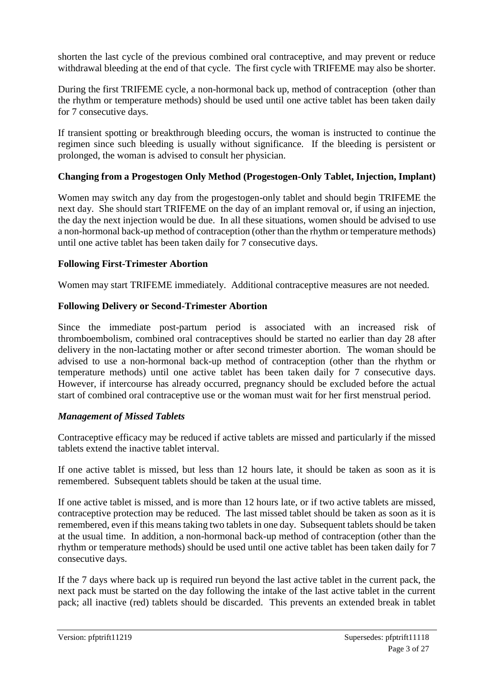shorten the last cycle of the previous combined oral contraceptive, and may prevent or reduce withdrawal bleeding at the end of that cycle. The first cycle with TRIFEME may also be shorter.

During the first TRIFEME cycle, a non-hormonal back up, method of contraception (other than the rhythm or temperature methods) should be used until one active tablet has been taken daily for 7 consecutive days.

If transient spotting or breakthrough bleeding occurs, the woman is instructed to continue the regimen since such bleeding is usually without significance. If the bleeding is persistent or prolonged, the woman is advised to consult her physician.

#### **Changing from a Progestogen Only Method (Progestogen-Only Tablet, Injection, Implant)**

Women may switch any day from the progestogen-only tablet and should begin TRIFEME the next day. She should start TRIFEME on the day of an implant removal or, if using an injection, the day the next injection would be due. In all these situations, women should be advised to use a non-hormonal back-up method of contraception (other than the rhythm or temperature methods) until one active tablet has been taken daily for 7 consecutive days.

#### **Following First-Trimester Abortion**

Women may start TRIFEME immediately. Additional contraceptive measures are not needed.

#### **Following Delivery or Second-Trimester Abortion**

Since the immediate post-partum period is associated with an increased risk of thromboembolism, combined oral contraceptives should be started no earlier than day 28 after delivery in the non-lactating mother or after second trimester abortion. The woman should be advised to use a non-hormonal back-up method of contraception (other than the rhythm or temperature methods) until one active tablet has been taken daily for 7 consecutive days. However, if intercourse has already occurred, pregnancy should be excluded before the actual start of combined oral contraceptive use or the woman must wait for her first menstrual period.

#### *Management of Missed Tablets*

Contraceptive efficacy may be reduced if active tablets are missed and particularly if the missed tablets extend the inactive tablet interval.

If one active tablet is missed, but less than 12 hours late, it should be taken as soon as it is remembered. Subsequent tablets should be taken at the usual time.

If one active tablet is missed, and is more than 12 hours late, or if two active tablets are missed, contraceptive protection may be reduced. The last missed tablet should be taken as soon as it is remembered, even if this means taking two tablets in one day. Subsequent tablets should be taken at the usual time. In addition, a non-hormonal back-up method of contraception (other than the rhythm or temperature methods) should be used until one active tablet has been taken daily for 7 consecutive days.

If the 7 days where back up is required run beyond the last active tablet in the current pack, the next pack must be started on the day following the intake of the last active tablet in the current pack; all inactive (red) tablets should be discarded. This prevents an extended break in tablet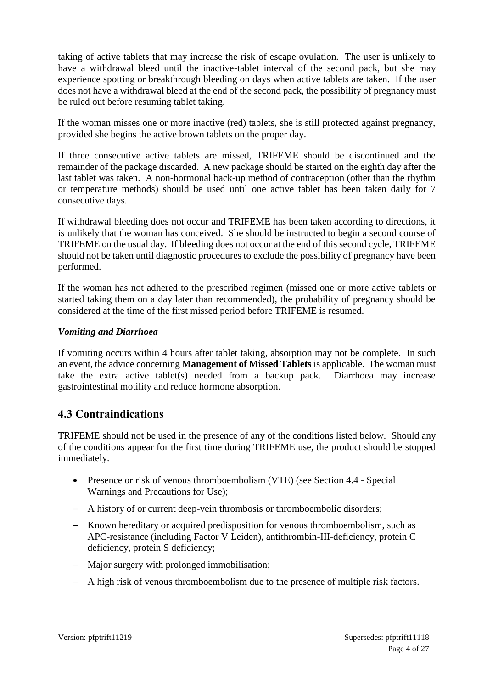taking of active tablets that may increase the risk of escape ovulation. The user is unlikely to have a withdrawal bleed until the inactive-tablet interval of the second pack, but she may experience spotting or breakthrough bleeding on days when active tablets are taken. If the user does not have a withdrawal bleed at the end of the second pack, the possibility of pregnancy must be ruled out before resuming tablet taking.

If the woman misses one or more inactive (red) tablets, she is still protected against pregnancy, provided she begins the active brown tablets on the proper day.

If three consecutive active tablets are missed, TRIFEME should be discontinued and the remainder of the package discarded. A new package should be started on the eighth day after the last tablet was taken. A non-hormonal back-up method of contraception (other than the rhythm or temperature methods) should be used until one active tablet has been taken daily for 7 consecutive days.

If withdrawal bleeding does not occur and TRIFEME has been taken according to directions, it is unlikely that the woman has conceived. She should be instructed to begin a second course of TRIFEME on the usual day. If bleeding does not occur at the end of this second cycle, TRIFEME should not be taken until diagnostic procedures to exclude the possibility of pregnancy have been performed.

If the woman has not adhered to the prescribed regimen (missed one or more active tablets or started taking them on a day later than recommended), the probability of pregnancy should be considered at the time of the first missed period before TRIFEME is resumed.

#### *Vomiting and Diarrhoea*

If vomiting occurs within 4 hours after tablet taking, absorption may not be complete. In such an event, the advice concerning **Management of Missed Tablets** is applicable. The woman must take the extra active tablet(s) needed from a backup pack. Diarrhoea may increase gastrointestinal motility and reduce hormone absorption.

## **4.3 Contraindications**

TRIFEME should not be used in the presence of any of the conditions listed below. Should any of the conditions appear for the first time during TRIFEME use, the product should be stopped immediately.

- Presence or risk of venous thromboembolism (VTE) (see Section 4.4 Special Warnings and Precautions for Use);
- A history of or current deep-vein thrombosis or thromboembolic disorders;
- Known hereditary or acquired predisposition for venous thromboembolism, such as APC-resistance (including Factor V Leiden), antithrombin-III-deficiency, protein C deficiency, protein S deficiency;
- Major surgery with prolonged immobilisation;
- A high risk of venous thromboembolism due to the presence of multiple risk factors.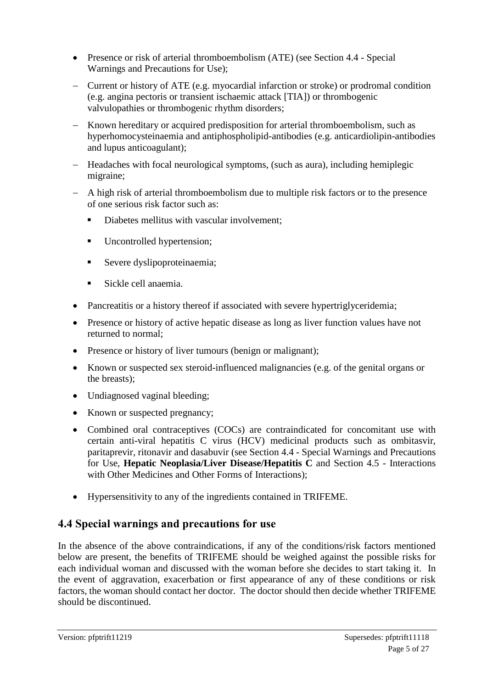- Presence or risk of arterial thromboembolism (ATE) (see Section 4.4 Special Warnings and Precautions for Use);
- Current or history of ATE (e.g. myocardial infarction or stroke) or prodromal condition (e.g. angina pectoris or transient ischaemic attack [TIA]) or thrombogenic valvulopathies or thrombogenic rhythm disorders;
- Known hereditary or acquired predisposition for arterial thromboembolism, such as hyperhomocysteinaemia and antiphospholipid-antibodies (e.g. anticardiolipin-antibodies and lupus anticoagulant);
- Headaches with focal neurological symptoms, (such as aura), including hemiplegic migraine;
- A high risk of arterial thromboembolism due to multiple risk factors or to the presence of one serious risk factor such as:
	- Diabetes mellitus with vascular involvement:
	- **Uncontrolled hypertension;**
	- Severe dyslipoproteinaemia;
	- Sickle cell anaemia.
- Pancreatitis or a history thereof if associated with severe hypertriglyceridemia;
- Presence or history of active hepatic disease as long as liver function values have not returned to normal;
- Presence or history of liver tumours (benign or malignant);
- Known or suspected sex steroid-influenced malignancies (e.g. of the genital organs or the breasts);
- Undiagnosed vaginal bleeding;
- Known or suspected pregnancy;
- Combined oral contraceptives (COCs) are contraindicated for concomitant use with certain anti-viral hepatitis C virus (HCV) medicinal products such as ombitasvir, paritaprevir, ritonavir and dasabuvir (see Section 4.4 - Special Warnings and Precautions for Use, **Hepatic Neoplasia/Liver Disease/Hepatitis C** and Section 4.5 - Interactions with Other Medicines and Other Forms of Interactions);
- Hypersensitivity to any of the ingredients contained in TRIFEME.

## **4.4 Special warnings and precautions for use**

In the absence of the above contraindications, if any of the conditions/risk factors mentioned below are present, the benefits of TRIFEME should be weighed against the possible risks for each individual woman and discussed with the woman before she decides to start taking it. In the event of aggravation, exacerbation or first appearance of any of these conditions or risk factors, the woman should contact her doctor. The doctor should then decide whether TRIFEME should be discontinued.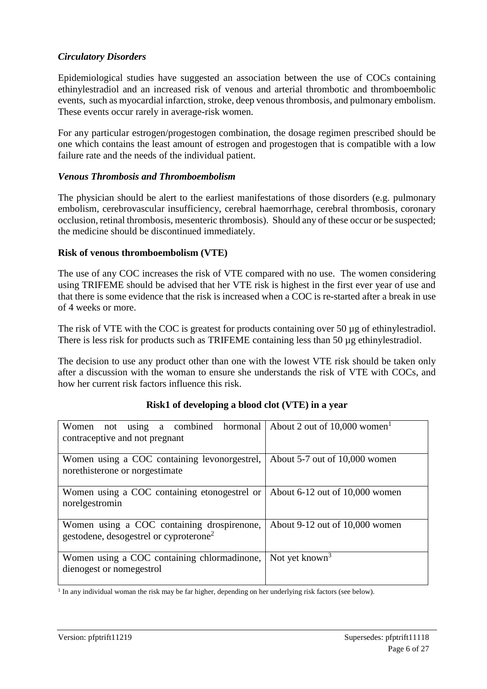## *Circulatory Disorders*

Epidemiological studies have suggested an association between the use of COCs containing ethinylestradiol and an increased risk of venous and arterial thrombotic and thromboembolic events, such as myocardial infarction, stroke, deep venous thrombosis, and pulmonary embolism. These events occur rarely in average-risk women.

For any particular estrogen/progestogen combination, the dosage regimen prescribed should be one which contains the least amount of estrogen and progestogen that is compatible with a low failure rate and the needs of the individual patient.

#### *Venous Thrombosis and Thromboembolism*

The physician should be alert to the earliest manifestations of those disorders (e.g. pulmonary embolism, cerebrovascular insufficiency, cerebral haemorrhage, cerebral thrombosis, coronary occlusion, retinal thrombosis, mesenteric thrombosis). Should any of these occur or be suspected; the medicine should be discontinued immediately.

#### **Risk of venous thromboembolism (VTE)**

The use of any COC increases the risk of VTE compared with no use. The women considering using TRIFEME should be advised that her VTE risk is highest in the first ever year of use and that there is some evidence that the risk is increased when a COC is re-started after a break in use of 4 weeks or more.

The risk of VTE with the COC is greatest for products containing over 50 µg of ethinylestradiol. There is less risk for products such as TRIFEME containing less than 50 µg ethinylestradiol.

The decision to use any product other than one with the lowest VTE risk should be taken only after a discussion with the woman to ensure she understands the risk of VTE with COCs, and how her current risk factors influence this risk.

| using a combined hormonal<br>Women<br>not          | About 2 out of $10,000$ women <sup>1</sup> |
|----------------------------------------------------|--------------------------------------------|
| contraceptive and not pregnant                     |                                            |
|                                                    |                                            |
| Women using a COC containing levonorgestrel,       | About 5-7 out of 10,000 women              |
| norethisterone or norgestimate                     |                                            |
|                                                    |                                            |
| Women using a COC containing etonogestrel or       | About $6-12$ out of $10,000$ women         |
| norelgestromin                                     |                                            |
|                                                    |                                            |
| Women using a COC containing drospirenone,         | About 9-12 out of 10,000 women             |
| gestodene, desogestrel or cyproterone <sup>2</sup> |                                            |
|                                                    |                                            |
| Women using a COC containing chlormadinone,        | Not yet known <sup>3</sup>                 |
| dienogest or nomegestrol                           |                                            |
|                                                    |                                            |

#### **Risk1 of developing a blood clot (VTE) in a year**

1 In any individual woman the risk may be far higher, depending on her underlying risk factors (see below).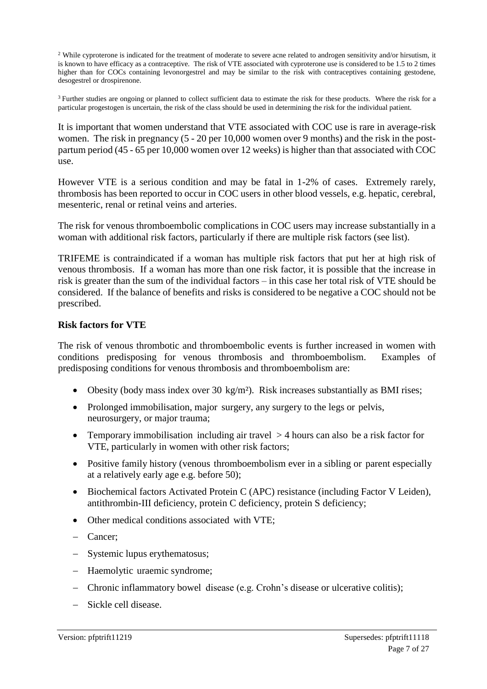<sup>2</sup> While cyproterone is indicated for the treatment of moderate to severe acne related to androgen sensitivity and/or hirsutism, it is known to have efficacy as a contraceptive. The risk of VTE associated with cyproterone use is considered to be 1.5 to 2 times higher than for COCs containing levonorgestrel and may be similar to the risk with contraceptives containing gestodene, desogestrel or drospirenone.

<sup>3</sup> Further studies are ongoing or planned to collect sufficient data to estimate the risk for these products. Where the risk for a particular progestogen is uncertain, the risk of the class should be used in determining the risk for the individual patient.

It is important that women understand that VTE associated with COC use is rare in average-risk women. The risk in pregnancy (5 - 20 per 10,000 women over 9 months) and the risk in the postpartum period (45 - 65 per 10,000 women over 12 weeks) is higher than that associated with COC use.

However VTE is a serious condition and may be fatal in 1-2% of cases. Extremely rarely, thrombosis has been reported to occur in COC users in other blood vessels, e.g. hepatic, cerebral, mesenteric, renal or retinal veins and arteries.

The risk for venous thromboembolic complications in COC users may increase substantially in a woman with additional risk factors, particularly if there are multiple risk factors (see list).

TRIFEME is contraindicated if a woman has multiple risk factors that put her at high risk of venous thrombosis. If a woman has more than one risk factor, it is possible that the increase in risk is greater than the sum of the individual factors – in this case her total risk of VTE should be considered. If the balance of benefits and risks is considered to be negative a COC should not be prescribed.

#### **Risk factors for VTE**

The risk of venous thrombotic and thromboembolic events is further increased in women with conditions predisposing for venous thrombosis and thromboembolism. Examples of predisposing conditions for venous thrombosis and thromboembolism are:

- Obesity (body mass index over 30 kg/m<sup>2</sup>). Risk increases substantially as BMI rises;
- Prolonged immobilisation, major surgery, any surgery to the legs or pelvis, neurosurgery, or major trauma;
- Temporary immobilisation including air travel  $>$  4 hours can also be a risk factor for VTE, particularly in women with other risk factors;
- Positive family history (venous thromboembolism ever in a sibling or parent especially at a relatively early age e.g. before 50);
- Biochemical factors Activated Protein C (APC) resistance (including Factor V Leiden), antithrombin-III deficiency, protein C deficiency, protein S deficiency;
- Other medical conditions associated with VTE;
- Cancer;
- Systemic lupus erythematosus;
- Haemolytic uraemic syndrome;
- Chronic inflammatory bowel disease (e.g. Crohn's disease or ulcerative colitis);
- Sickle cell disease.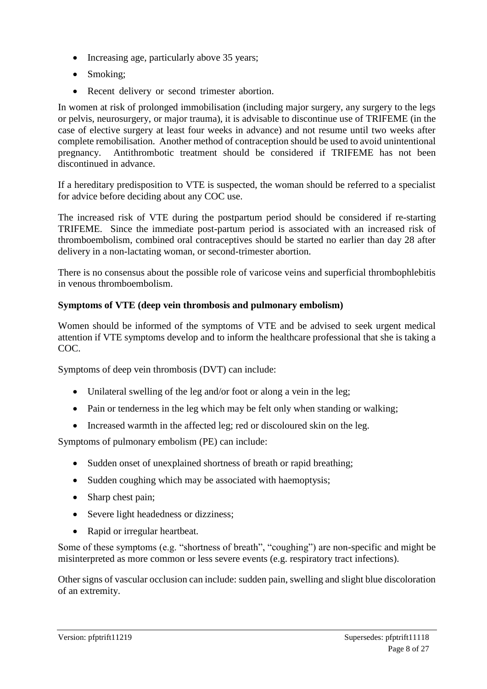- Increasing age, particularly above 35 years;
- Smoking;
- Recent delivery or second trimester abortion.

In women at risk of prolonged immobilisation (including major surgery, any surgery to the legs or pelvis, neurosurgery, or major trauma), it is advisable to discontinue use of TRIFEME (in the case of elective surgery at least four weeks in advance) and not resume until two weeks after complete remobilisation. Another method of contraception should be used to avoid unintentional pregnancy. Antithrombotic treatment should be considered if TRIFEME has not been discontinued in advance.

If a hereditary predisposition to VTE is suspected, the woman should be referred to a specialist for advice before deciding about any COC use.

The increased risk of VTE during the postpartum period should be considered if re-starting TRIFEME. Since the immediate post-partum period is associated with an increased risk of thromboembolism, combined oral contraceptives should be started no earlier than day 28 after delivery in a non-lactating woman, or second-trimester abortion.

There is no consensus about the possible role of varicose veins and superficial thrombophlebitis in venous thromboembolism.

## **Symptoms of VTE (deep vein thrombosis and pulmonary embolism)**

Women should be informed of the symptoms of VTE and be advised to seek urgent medical attention if VTE symptoms develop and to inform the healthcare professional that she is taking a COC.

Symptoms of deep vein thrombosis (DVT) can include:

- Unilateral swelling of the leg and/or foot or along a vein in the leg;
- Pain or tenderness in the leg which may be felt only when standing or walking;
- Increased warmth in the affected leg; red or discoloured skin on the leg.

Symptoms of pulmonary embolism (PE) can include:

- Sudden onset of unexplained shortness of breath or rapid breathing;
- Sudden coughing which may be associated with haemoptysis;
- Sharp chest pain;
- Severe light headedness or dizziness;
- Rapid or irregular heartbeat.

Some of these symptoms (e.g. "shortness of breath", "coughing") are non-specific and might be misinterpreted as more common or less severe events (e.g. respiratory tract infections).

Other signs of vascular occlusion can include: sudden pain, swelling and slight blue discoloration of an extremity.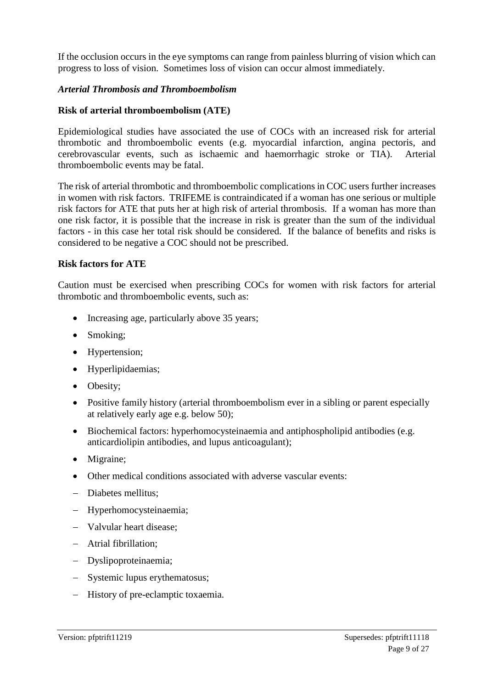If the occlusion occurs in the eye symptoms can range from painless blurring of vision which can progress to loss of vision. Sometimes loss of vision can occur almost immediately.

#### *Arterial Thrombosis and Thromboembolism*

## **Risk of arterial thromboembolism (ATE)**

Epidemiological studies have associated the use of COCs with an increased risk for arterial thrombotic and thromboembolic events (e.g. myocardial infarction, angina pectoris, and cerebrovascular events, such as ischaemic and haemorrhagic stroke or TIA). Arterial thromboembolic events may be fatal.

The risk of arterial thrombotic and thromboembolic complications in COC users further increases in women with risk factors. TRIFEME is contraindicated if a woman has one serious or multiple risk factors for ATE that puts her at high risk of arterial thrombosis. If a woman has more than one risk factor, it is possible that the increase in risk is greater than the sum of the individual factors - in this case her total risk should be considered. If the balance of benefits and risks is considered to be negative a COC should not be prescribed.

#### **Risk factors for ATE**

Caution must be exercised when prescribing COCs for women with risk factors for arterial thrombotic and thromboembolic events, such as:

- Increasing age, particularly above 35 years;
- Smoking;
- Hypertension;
- Hyperlipidaemias;
- Obesity;
- Positive family history (arterial thromboembolism ever in a sibling or parent especially at relatively early age e.g. below 50);
- Biochemical factors: hyperhomocysteinaemia and antiphospholipid antibodies (e.g. anticardiolipin antibodies, and lupus anticoagulant);
- Migraine;
- Other medical conditions associated with adverse vascular events:
- Diabetes mellitus;
- Hyperhomocysteinaemia;
- Valvular heart disease:
- Atrial fibrillation;
- Dyslipoproteinaemia;
- Systemic lupus erythematosus;
- History of pre-eclamptic toxaemia.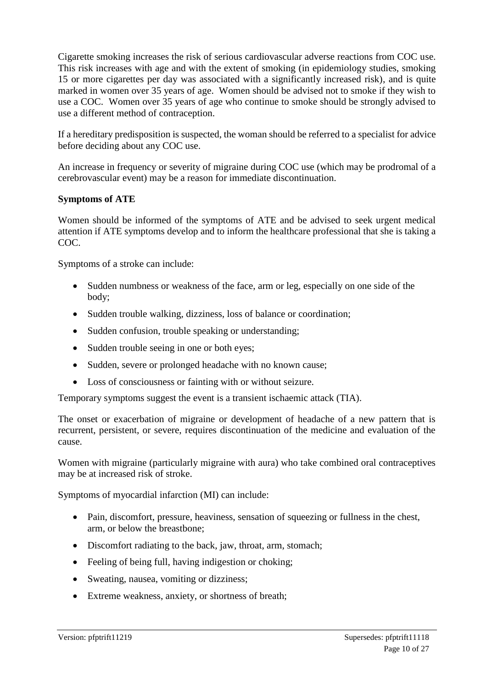Cigarette smoking increases the risk of serious cardiovascular adverse reactions from COC use. This risk increases with age and with the extent of smoking (in epidemiology studies, smoking 15 or more cigarettes per day was associated with a significantly increased risk), and is quite marked in women over 35 years of age. Women should be advised not to smoke if they wish to use a COC. Women over 35 years of age who continue to smoke should be strongly advised to use a different method of contraception.

If a hereditary predisposition is suspected, the woman should be referred to a specialist for advice before deciding about any COC use.

An increase in frequency or severity of migraine during COC use (which may be prodromal of a cerebrovascular event) may be a reason for immediate discontinuation.

#### **Symptoms of ATE**

Women should be informed of the symptoms of ATE and be advised to seek urgent medical attention if ATE symptoms develop and to inform the healthcare professional that she is taking a COC.

Symptoms of a stroke can include:

- Sudden numbness or weakness of the face, arm or leg, especially on one side of the body;
- Sudden trouble walking, dizziness, loss of balance or coordination;
- Sudden confusion, trouble speaking or understanding;
- Sudden trouble seeing in one or both eyes;
- Sudden, severe or prolonged headache with no known cause;
- Loss of consciousness or fainting with or without seizure.

Temporary symptoms suggest the event is a transient ischaemic attack (TIA).

The onset or exacerbation of migraine or development of headache of a new pattern that is recurrent, persistent, or severe, requires discontinuation of the medicine and evaluation of the cause.

Women with migraine (particularly migraine with aura) who take combined oral contraceptives may be at increased risk of stroke.

Symptoms of myocardial infarction (MI) can include:

- Pain, discomfort, pressure, heaviness, sensation of squeezing or fullness in the chest, arm, or below the breastbone;
- Discomfort radiating to the back, jaw, throat, arm, stomach;
- Feeling of being full, having indigestion or choking;
- Sweating, nausea, vomiting or dizziness;
- Extreme weakness, anxiety, or shortness of breath;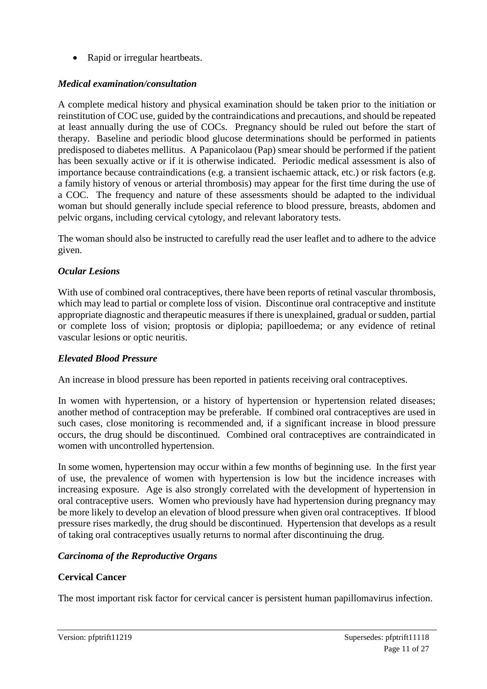• Rapid or irregular heartbeats.

## *Medical examination/consultation*

A complete medical history and physical examination should be taken prior to the initiation or reinstitution of COC use, guided by the contraindications and precautions, and should be repeated at least annually during the use of COCs. Pregnancy should be ruled out before the start of therapy. Baseline and periodic blood glucose determinations should be performed in patients predisposed to diabetes mellitus. A Papanicolaou (Pap) smear should be performed if the patient has been sexually active or if it is otherwise indicated. Periodic medical assessment is also of importance because contraindications (e.g. a transient ischaemic attack, etc.) or risk factors (e.g. a family history of venous or arterial thrombosis) may appear for the first time during the use of a COC. The frequency and nature of these assessments should be adapted to the individual woman but should generally include special reference to blood pressure, breasts, abdomen and pelvic organs, including cervical cytology, and relevant laboratory tests.

The woman should also be instructed to carefully read the user leaflet and to adhere to the advice given.

## *Ocular Lesions*

With use of combined oral contraceptives, there have been reports of retinal vascular thrombosis, which may lead to partial or complete loss of vision. Discontinue oral contraceptive and institute appropriate diagnostic and therapeutic measures if there is unexplained, gradual or sudden, partial or complete loss of vision; proptosis or diplopia; papilloedema; or any evidence of retinal vascular lesions or optic neuritis.

## *Elevated Blood Pressure*

An increase in blood pressure has been reported in patients receiving oral contraceptives.

In women with hypertension, or a history of hypertension or hypertension related diseases; another method of contraception may be preferable. If combined oral contraceptives are used in such cases, close monitoring is recommended and, if a significant increase in blood pressure occurs, the drug should be discontinued. Combined oral contraceptives are contraindicated in women with uncontrolled hypertension.

In some women, hypertension may occur within a few months of beginning use. In the first year of use, the prevalence of women with hypertension is low but the incidence increases with increasing exposure. Age is also strongly correlated with the development of hypertension in oral contraceptive users. Women who previously have had hypertension during pregnancy may be more likely to develop an elevation of blood pressure when given oral contraceptives. If blood pressure rises markedly, the drug should be discontinued. Hypertension that develops as a result of taking oral contraceptives usually returns to normal after discontinuing the drug.

## *Carcinoma of the Reproductive Organs*

## **Cervical Cancer**

The most important risk factor for cervical cancer is persistent human papillomavirus infection.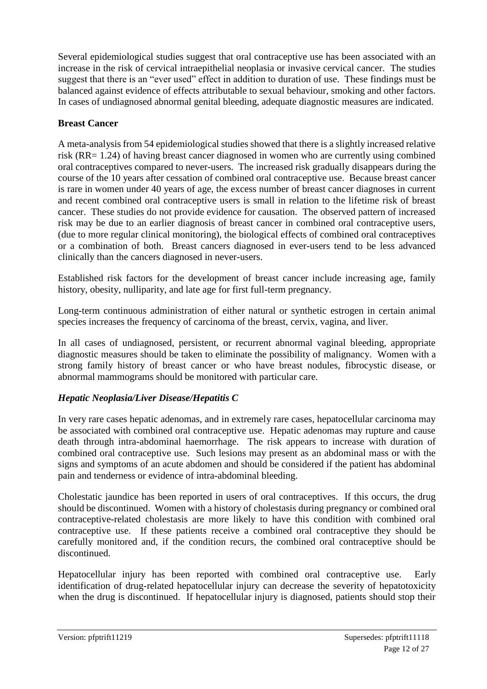Several epidemiological studies suggest that oral contraceptive use has been associated with an increase in the risk of cervical intraepithelial neoplasia or invasive cervical cancer. The studies suggest that there is an "ever used" effect in addition to duration of use. These findings must be balanced against evidence of effects attributable to sexual behaviour, smoking and other factors. In cases of undiagnosed abnormal genital bleeding, adequate diagnostic measures are indicated.

## **Breast Cancer**

A meta-analysis from 54 epidemiological studies showed that there is a slightly increased relative risk (RR= 1.24) of having breast cancer diagnosed in women who are currently using combined oral contraceptives compared to never-users. The increased risk gradually disappears during the course of the 10 years after cessation of combined oral contraceptive use. Because breast cancer is rare in women under 40 years of age, the excess number of breast cancer diagnoses in current and recent combined oral contraceptive users is small in relation to the lifetime risk of breast cancer. These studies do not provide evidence for causation. The observed pattern of increased risk may be due to an earlier diagnosis of breast cancer in combined oral contraceptive users, (due to more regular clinical monitoring), the biological effects of combined oral contraceptives or a combination of both. Breast cancers diagnosed in ever-users tend to be less advanced clinically than the cancers diagnosed in never-users.

Established risk factors for the development of breast cancer include increasing age, family history, obesity, nulliparity, and late age for first full-term pregnancy.

Long-term continuous administration of either natural or synthetic estrogen in certain animal species increases the frequency of carcinoma of the breast, cervix, vagina, and liver.

In all cases of undiagnosed, persistent, or recurrent abnormal vaginal bleeding, appropriate diagnostic measures should be taken to eliminate the possibility of malignancy. Women with a strong family history of breast cancer or who have breast nodules, fibrocystic disease, or abnormal mammograms should be monitored with particular care.

## *Hepatic Neoplasia/Liver Disease/Hepatitis C*

In very rare cases hepatic adenomas, and in extremely rare cases, hepatocellular carcinoma may be associated with combined oral contraceptive use. Hepatic adenomas may rupture and cause death through intra-abdominal haemorrhage. The risk appears to increase with duration of combined oral contraceptive use. Such lesions may present as an abdominal mass or with the signs and symptoms of an acute abdomen and should be considered if the patient has abdominal pain and tenderness or evidence of intra-abdominal bleeding.

Cholestatic jaundice has been reported in users of oral contraceptives. If this occurs, the drug should be discontinued. Women with a history of cholestasis during pregnancy or combined oral contraceptive-related cholestasis are more likely to have this condition with combined oral contraceptive use. If these patients receive a combined oral contraceptive they should be carefully monitored and, if the condition recurs, the combined oral contraceptive should be discontinued.

Hepatocellular injury has been reported with combined oral contraceptive use. Early identification of drug-related hepatocellular injury can decrease the severity of hepatotoxicity when the drug is discontinued. If hepatocellular injury is diagnosed, patients should stop their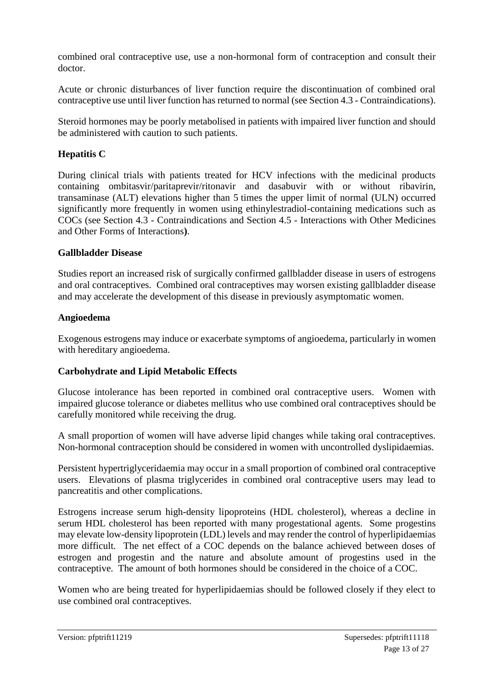combined oral contraceptive use, use a non-hormonal form of contraception and consult their doctor.

Acute or chronic disturbances of liver function require the discontinuation of combined oral contraceptive use until liver function has returned to normal (see Section 4.3 - Contraindications).

Steroid hormones may be poorly metabolised in patients with impaired liver function and should be administered with caution to such patients.

## **Hepatitis C**

During clinical trials with patients treated for HCV infections with the medicinal products containing ombitasvir/paritaprevir/ritonavir and dasabuvir with or without ribavirin, transaminase (ALT) elevations higher than 5 times the upper limit of normal (ULN) occurred significantly more frequently in women using ethinylestradiol-containing medications such as COCs (see Section 4.3 - Contraindications and Section 4.5 - Interactions with Other Medicines and Other Forms of Interactions**)**.

#### **Gallbladder Disease**

Studies report an increased risk of surgically confirmed gallbladder disease in users of estrogens and oral contraceptives. Combined oral contraceptives may worsen existing gallbladder disease and may accelerate the development of this disease in previously asymptomatic women.

#### **Angioedema**

Exogenous estrogens may induce or exacerbate symptoms of angioedema, particularly in women with hereditary angioedema.

## **Carbohydrate and Lipid Metabolic Effects**

Glucose intolerance has been reported in combined oral contraceptive users. Women with impaired glucose tolerance or diabetes mellitus who use combined oral contraceptives should be carefully monitored while receiving the drug.

A small proportion of women will have adverse lipid changes while taking oral contraceptives. Non-hormonal contraception should be considered in women with uncontrolled dyslipidaemias.

Persistent hypertriglyceridaemia may occur in a small proportion of combined oral contraceptive users. Elevations of plasma triglycerides in combined oral contraceptive users may lead to pancreatitis and other complications.

Estrogens increase serum high-density lipoproteins (HDL cholesterol), whereas a decline in serum HDL cholesterol has been reported with many progestational agents. Some progestins may elevate low-density lipoprotein (LDL) levels and may render the control of hyperlipidaemias more difficult. The net effect of a COC depends on the balance achieved between doses of estrogen and progestin and the nature and absolute amount of progestins used in the contraceptive. The amount of both hormones should be considered in the choice of a COC.

Women who are being treated for hyperlipidaemias should be followed closely if they elect to use combined oral contraceptives.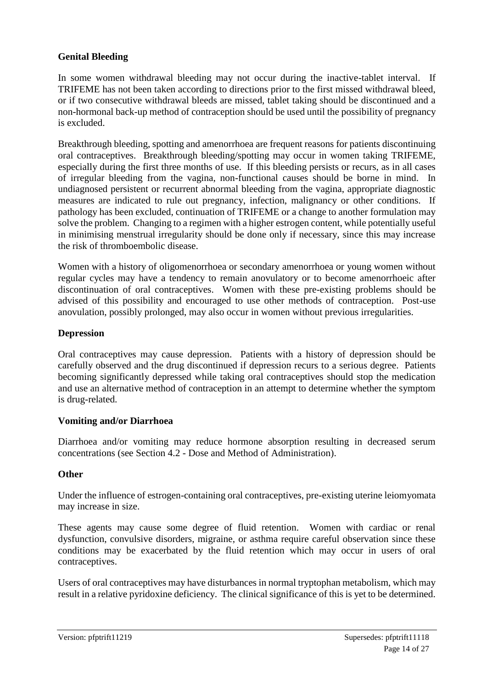## **Genital Bleeding**

In some women withdrawal bleeding may not occur during the inactive-tablet interval. If TRIFEME has not been taken according to directions prior to the first missed withdrawal bleed, or if two consecutive withdrawal bleeds are missed, tablet taking should be discontinued and a non-hormonal back-up method of contraception should be used until the possibility of pregnancy is excluded.

Breakthrough bleeding, spotting and amenorrhoea are frequent reasons for patients discontinuing oral contraceptives. Breakthrough bleeding/spotting may occur in women taking TRIFEME, especially during the first three months of use. If this bleeding persists or recurs, as in all cases of irregular bleeding from the vagina, non-functional causes should be borne in mind. In undiagnosed persistent or recurrent abnormal bleeding from the vagina, appropriate diagnostic measures are indicated to rule out pregnancy, infection, malignancy or other conditions. If pathology has been excluded, continuation of TRIFEME or a change to another formulation may solve the problem. Changing to a regimen with a higher estrogen content, while potentially useful in minimising menstrual irregularity should be done only if necessary, since this may increase the risk of thromboembolic disease.

Women with a history of oligomenorrhoea or secondary amenorrhoea or young women without regular cycles may have a tendency to remain anovulatory or to become amenorrhoeic after discontinuation of oral contraceptives. Women with these pre-existing problems should be advised of this possibility and encouraged to use other methods of contraception. Post-use anovulation, possibly prolonged, may also occur in women without previous irregularities.

#### **Depression**

Oral contraceptives may cause depression. Patients with a history of depression should be carefully observed and the drug discontinued if depression recurs to a serious degree. Patients becoming significantly depressed while taking oral contraceptives should stop the medication and use an alternative method of contraception in an attempt to determine whether the symptom is drug-related.

#### **Vomiting and/or Diarrhoea**

Diarrhoea and/or vomiting may reduce hormone absorption resulting in decreased serum concentrations (see Section 4.2 - Dose and Method of Administration).

## **Other**

Under the influence of estrogen-containing oral contraceptives, pre-existing uterine leiomyomata may increase in size.

These agents may cause some degree of fluid retention. Women with cardiac or renal dysfunction, convulsive disorders, migraine, or asthma require careful observation since these conditions may be exacerbated by the fluid retention which may occur in users of oral contraceptives.

Users of oral contraceptives may have disturbances in normal tryptophan metabolism, which may result in a relative pyridoxine deficiency. The clinical significance of this is yet to be determined.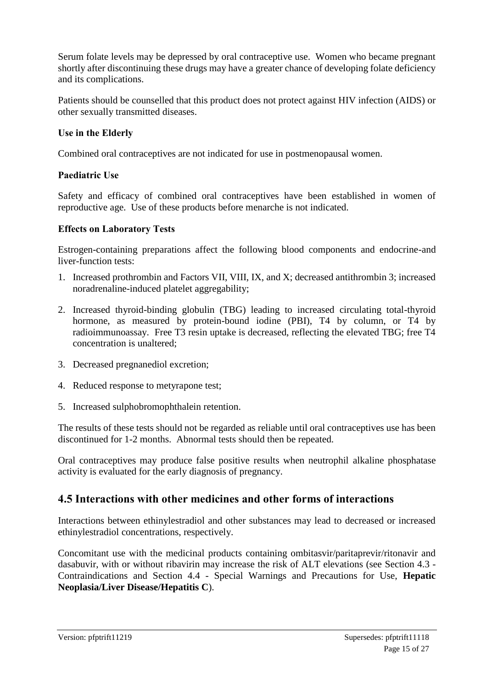Serum folate levels may be depressed by oral contraceptive use. Women who became pregnant shortly after discontinuing these drugs may have a greater chance of developing folate deficiency and its complications.

Patients should be counselled that this product does not protect against HIV infection (AIDS) or other sexually transmitted diseases.

## **Use in the Elderly**

Combined oral contraceptives are not indicated for use in postmenopausal women.

#### **Paediatric Use**

Safety and efficacy of combined oral contraceptives have been established in women of reproductive age. Use of these products before menarche is not indicated.

#### **Effects on Laboratory Tests**

Estrogen-containing preparations affect the following blood components and endocrine-and liver-function tests:

- 1. Increased prothrombin and Factors VII, VIII, IX, and X; decreased antithrombin 3; increased noradrenaline-induced platelet aggregability;
- 2. Increased thyroid-binding globulin (TBG) leading to increased circulating total-thyroid hormone, as measured by protein-bound iodine (PBI), T4 by column, or T4 by radioimmunoassay. Free T3 resin uptake is decreased, reflecting the elevated TBG; free T4 concentration is unaltered;
- 3. Decreased pregnanediol excretion;
- 4. Reduced response to metyrapone test;
- 5. Increased sulphobromophthalein retention.

The results of these tests should not be regarded as reliable until oral contraceptives use has been discontinued for 1-2 months. Abnormal tests should then be repeated.

Oral contraceptives may produce false positive results when neutrophil alkaline phosphatase activity is evaluated for the early diagnosis of pregnancy.

## **4.5 Interactions with other medicines and other forms of interactions**

Interactions between ethinylestradiol and other substances may lead to decreased or increased ethinylestradiol concentrations, respectively.

Concomitant use with the medicinal products containing ombitasvir/paritaprevir/ritonavir and dasabuvir, with or without ribavirin may increase the risk of ALT elevations (see Section 4.3 - Contraindications and Section 4.4 - Special Warnings and Precautions for Use, **Hepatic Neoplasia/Liver Disease/Hepatitis C**).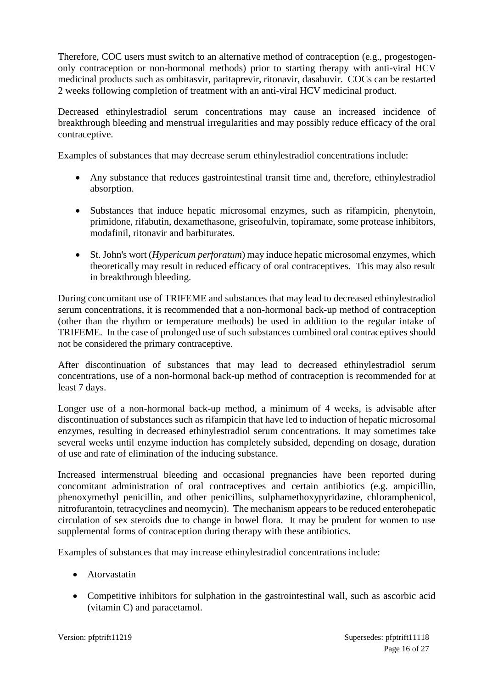Therefore, COC users must switch to an alternative method of contraception (e.g., progestogenonly contraception or non-hormonal methods) prior to starting therapy with anti-viral HCV medicinal products such as ombitasvir, paritaprevir, ritonavir, dasabuvir. COCs can be restarted 2 weeks following completion of treatment with an anti-viral HCV medicinal product.

Decreased ethinylestradiol serum concentrations may cause an increased incidence of breakthrough bleeding and menstrual irregularities and may possibly reduce efficacy of the oral contraceptive.

Examples of substances that may decrease serum ethinylestradiol concentrations include:

- Any substance that reduces gastrointestinal transit time and, therefore, ethinylestradiol absorption.
- Substances that induce hepatic microsomal enzymes, such as rifampicin, phenytoin, primidone, rifabutin, dexamethasone, griseofulvin, topiramate, some protease inhibitors, modafinil, ritonavir and barbiturates.
- St. John's wort (*Hypericum perforatum*) may induce hepatic microsomal enzymes, which theoretically may result in reduced efficacy of oral contraceptives. This may also result in breakthrough bleeding.

During concomitant use of TRIFEME and substances that may lead to decreased ethinylestradiol serum concentrations, it is recommended that a non-hormonal back-up method of contraception (other than the rhythm or temperature methods) be used in addition to the regular intake of TRIFEME. In the case of prolonged use of such substances combined oral contraceptives should not be considered the primary contraceptive.

After discontinuation of substances that may lead to decreased ethinylestradiol serum concentrations, use of a non-hormonal back-up method of contraception is recommended for at least 7 days.

Longer use of a non-hormonal back-up method, a minimum of 4 weeks, is advisable after discontinuation of substances such as rifampicin that have led to induction of hepatic microsomal enzymes, resulting in decreased ethinylestradiol serum concentrations. It may sometimes take several weeks until enzyme induction has completely subsided, depending on dosage, duration of use and rate of elimination of the inducing substance.

Increased intermenstrual bleeding and occasional pregnancies have been reported during concomitant administration of oral contraceptives and certain antibiotics (e.g. ampicillin, phenoxymethyl penicillin, and other penicillins, sulphamethoxypyridazine, chloramphenicol, nitrofurantoin, tetracyclines and neomycin). The mechanism appears to be reduced enterohepatic circulation of sex steroids due to change in bowel flora. It may be prudent for women to use supplemental forms of contraception during therapy with these antibiotics.

Examples of substances that may increase ethinylestradiol concentrations include:

- Atorvastatin
- Competitive inhibitors for sulphation in the gastrointestinal wall, such as ascorbic acid (vitamin C) and paracetamol.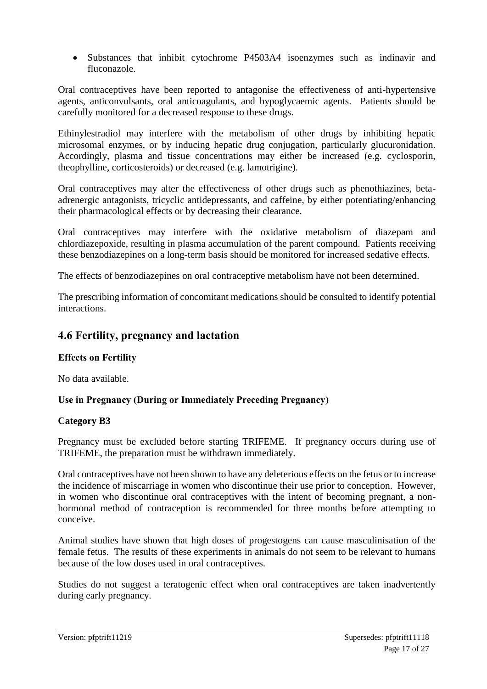• Substances that inhibit cytochrome P4503A4 isoenzymes such as indinavir and fluconazole.

Oral contraceptives have been reported to antagonise the effectiveness of anti-hypertensive agents, anticonvulsants, oral anticoagulants, and hypoglycaemic agents. Patients should be carefully monitored for a decreased response to these drugs.

Ethinylestradiol may interfere with the metabolism of other drugs by inhibiting hepatic microsomal enzymes, or by inducing hepatic drug conjugation, particularly glucuronidation. Accordingly, plasma and tissue concentrations may either be increased (e.g. cyclosporin, theophylline, corticosteroids) or decreased (e.g. lamotrigine).

Oral contraceptives may alter the effectiveness of other drugs such as phenothiazines, betaadrenergic antagonists, tricyclic antidepressants, and caffeine, by either potentiating/enhancing their pharmacological effects or by decreasing their clearance.

Oral contraceptives may interfere with the oxidative metabolism of diazepam and chlordiazepoxide, resulting in plasma accumulation of the parent compound. Patients receiving these benzodiazepines on a long-term basis should be monitored for increased sedative effects.

The effects of benzodiazepines on oral contraceptive metabolism have not been determined.

The prescribing information of concomitant medications should be consulted to identify potential interactions.

## **4.6 Fertility, pregnancy and lactation**

## **Effects on Fertility**

No data available.

## **Use in Pregnancy (During or Immediately Preceding Pregnancy)**

## **Category B3**

Pregnancy must be excluded before starting TRIFEME. If pregnancy occurs during use of TRIFEME, the preparation must be withdrawn immediately.

Oral contraceptives have not been shown to have any deleterious effects on the fetus or to increase the incidence of miscarriage in women who discontinue their use prior to conception. However, in women who discontinue oral contraceptives with the intent of becoming pregnant, a nonhormonal method of contraception is recommended for three months before attempting to conceive.

Animal studies have shown that high doses of progestogens can cause masculinisation of the female fetus. The results of these experiments in animals do not seem to be relevant to humans because of the low doses used in oral contraceptives.

Studies do not suggest a teratogenic effect when oral contraceptives are taken inadvertently during early pregnancy.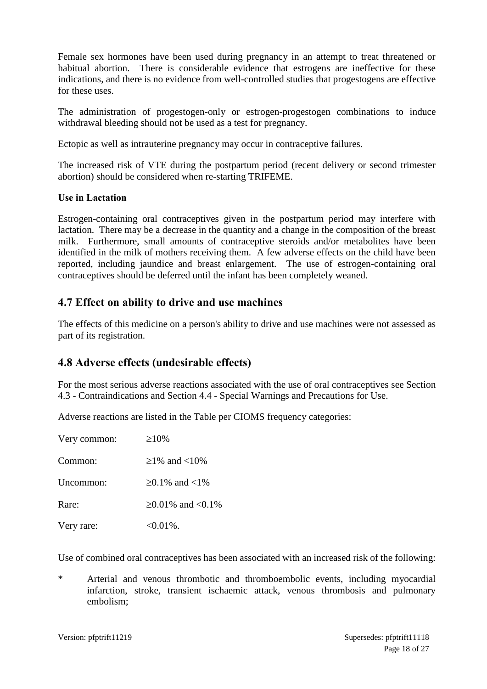Female sex hormones have been used during pregnancy in an attempt to treat threatened or habitual abortion. There is considerable evidence that estrogens are ineffective for these indications, and there is no evidence from well-controlled studies that progestogens are effective for these uses.

The administration of progestogen-only or estrogen-progestogen combinations to induce withdrawal bleeding should not be used as a test for pregnancy.

Ectopic as well as intrauterine pregnancy may occur in contraceptive failures.

The increased risk of VTE during the postpartum period (recent delivery or second trimester abortion) should be considered when re-starting TRIFEME.

#### **Use in Lactation**

Estrogen-containing oral contraceptives given in the postpartum period may interfere with lactation. There may be a decrease in the quantity and a change in the composition of the breast milk. Furthermore, small amounts of contraceptive steroids and/or metabolites have been identified in the milk of mothers receiving them. A few adverse effects on the child have been reported, including jaundice and breast enlargement. The use of estrogen-containing oral contraceptives should be deferred until the infant has been completely weaned.

## **4.7 Effect on ability to drive and use machines**

The effects of this medicine on a person's ability to drive and use machines were not assessed as part of its registration.

## **4.8 Adverse effects (undesirable effects)**

For the most serious adverse reactions associated with the use of oral contraceptives see Section 4.3 - Contraindications and Section 4.4 - Special Warnings and Precautions for Use.

Adverse reactions are listed in the Table per CIOMS frequency categories:

| Very common: | $\geq 10\%$             |
|--------------|-------------------------|
| Common:      | $>1\%$ and $<10\%$      |
| Uncommon:    | ≥0.1% and <1%           |
| Rare:        | $\geq 0.01\%$ and <0.1% |
| Very rare:   | $<0.01\%$ .             |

Use of combined oral contraceptives has been associated with an increased risk of the following:

\* Arterial and venous thrombotic and thromboembolic events, including myocardial infarction, stroke, transient ischaemic attack, venous thrombosis and pulmonary embolism;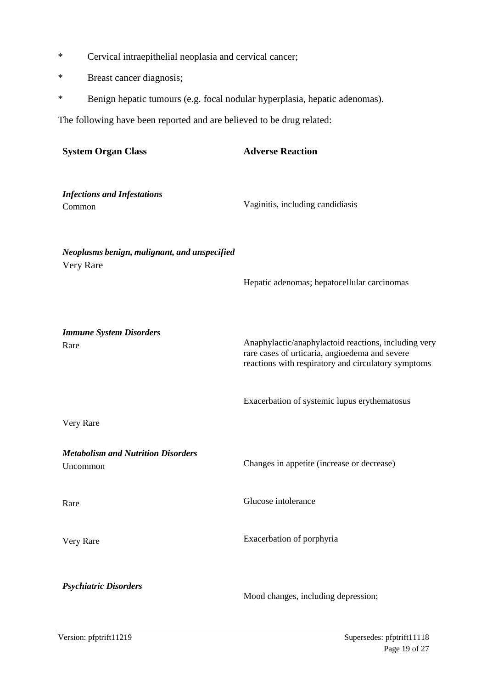- \* Cervical intraepithelial neoplasia and cervical cancer;
- \* Breast cancer diagnosis;
- \* Benign hepatic tumours (e.g. focal nodular hyperplasia, hepatic adenomas).

The following have been reported and are believed to be drug related:

| <b>System Organ Class</b>                                 | <b>Adverse Reaction</b>                                                                                                                                       |
|-----------------------------------------------------------|---------------------------------------------------------------------------------------------------------------------------------------------------------------|
| <b>Infections and Infestations</b><br>Common              | Vaginitis, including candidiasis                                                                                                                              |
| Neoplasms benign, malignant, and unspecified<br>Very Rare | Hepatic adenomas; hepatocellular carcinomas                                                                                                                   |
| <b>Immune System Disorders</b><br>Rare                    | Anaphylactic/anaphylactoid reactions, including very<br>rare cases of urticaria, angioedema and severe<br>reactions with respiratory and circulatory symptoms |
| Very Rare                                                 | Exacerbation of systemic lupus erythematosus                                                                                                                  |
|                                                           |                                                                                                                                                               |
| <b>Metabolism and Nutrition Disorders</b><br>Uncommon     | Changes in appetite (increase or decrease)                                                                                                                    |
| Rare                                                      | Glucose intolerance                                                                                                                                           |
| Very Rare                                                 | Exacerbation of porphyria                                                                                                                                     |
| <b>Psychiatric Disorders</b>                              | Mood changes, including depression;                                                                                                                           |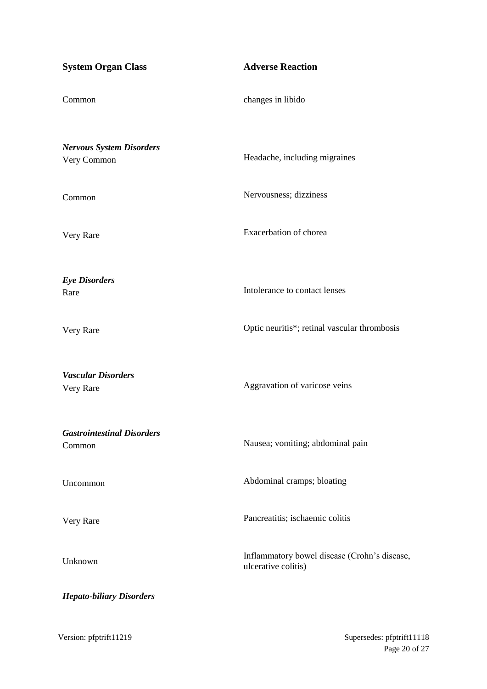| <b>System Organ Class</b>                      | <b>Adverse Reaction</b>                                             |
|------------------------------------------------|---------------------------------------------------------------------|
| Common                                         | changes in libido                                                   |
| <b>Nervous System Disorders</b><br>Very Common | Headache, including migraines                                       |
| Common                                         | Nervousness; dizziness                                              |
| Very Rare                                      | Exacerbation of chorea                                              |
| <b>Eye Disorders</b><br>Rare                   | Intolerance to contact lenses                                       |
| Very Rare                                      | Optic neuritis*; retinal vascular thrombosis                        |
| <b>Vascular Disorders</b><br>Very Rare         | Aggravation of varicose veins                                       |
| <b>Gastrointestinal Disorders</b><br>Common    | Nausea; vomiting; abdominal pain                                    |
| Uncommon                                       | Abdominal cramps; bloating                                          |
| Very Rare                                      | Pancreatitis; ischaemic colitis                                     |
| Unknown                                        | Inflammatory bowel disease (Crohn's disease,<br>ulcerative colitis) |
| <b>Hepato-biliary Disorders</b>                |                                                                     |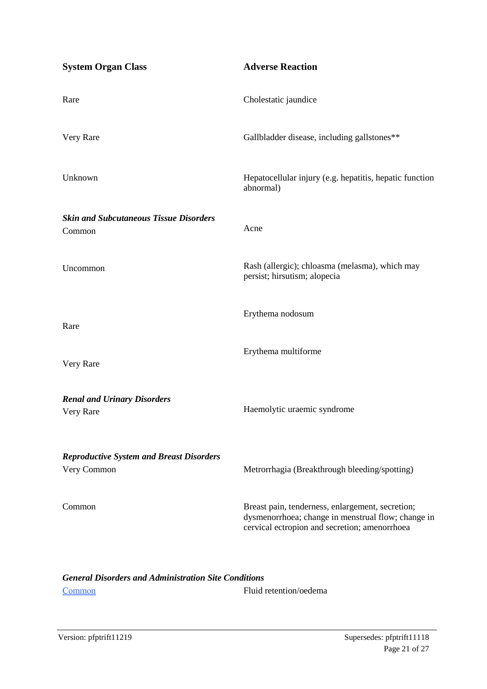| <b>System Organ Class</b>                                      | <b>Adverse Reaction</b>                                                                                                                                 |
|----------------------------------------------------------------|---------------------------------------------------------------------------------------------------------------------------------------------------------|
| Rare                                                           | Cholestatic jaundice                                                                                                                                    |
| Very Rare                                                      | Gallbladder disease, including gallstones**                                                                                                             |
| Unknown                                                        | Hepatocellular injury (e.g. hepatitis, hepatic function<br>abnormal)                                                                                    |
| <b>Skin and Subcutaneous Tissue Disorders</b><br>Common        | Acne                                                                                                                                                    |
| Uncommon                                                       | Rash (allergic); chloasma (melasma), which may<br>persist; hirsutism; alopecia                                                                          |
| Rare                                                           | Erythema nodosum                                                                                                                                        |
| Very Rare                                                      | Erythema multiforme                                                                                                                                     |
| <b>Renal and Urinary Disorders</b><br>Very Rare                | Haemolytic uraemic syndrome                                                                                                                             |
| <b>Reproductive System and Breast Disorders</b><br>Very Common | Metrorrhagia (Breakthrough bleeding/spotting)                                                                                                           |
| Common                                                         | Breast pain, tenderness, enlargement, secretion;<br>dysmenorrhoea; change in menstrual flow; change in<br>cervical ectropion and secretion; amenorrhoea |
|                                                                |                                                                                                                                                         |

## *General Disorders and Administration Site Conditions* Common Fluid retention/oedema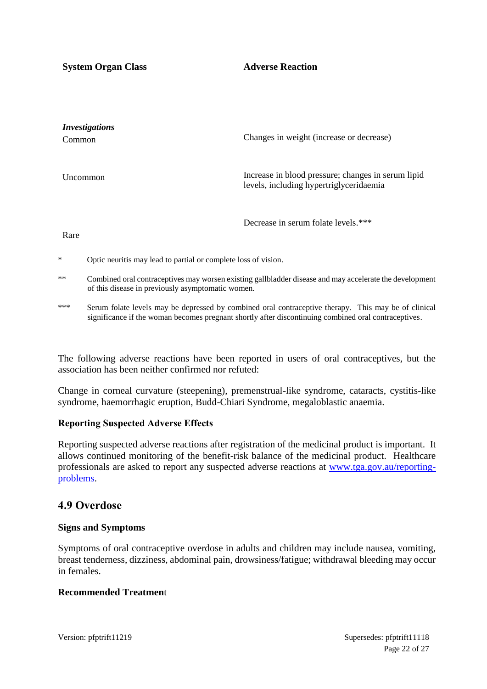**System Organ Class Adverse Reaction** 

| <i>Investigations</i><br><b>Common</b> | Changes in weight (increase or decrease)                                                      |
|----------------------------------------|-----------------------------------------------------------------------------------------------|
| Uncommon                               | Increase in blood pressure; changes in serum lipid<br>levels, including hypertriglyceridaemia |
|                                        | Decrease in serum folate levels.***                                                           |

Rare

- \* Optic neuritis may lead to partial or complete loss of vision.
- \*\* Combined oral contraceptives may worsen existing gallbladder disease and may accelerate the development of this disease in previously asymptomatic women.
- \*\*\* Serum folate levels may be depressed by combined oral contraceptive therapy. This may be of clinical significance if the woman becomes pregnant shortly after discontinuing combined oral contraceptives.

The following adverse reactions have been reported in users of oral contraceptives, but the association has been neither confirmed nor refuted:

Change in corneal curvature (steepening), premenstrual-like syndrome, cataracts, cystitis-like syndrome, haemorrhagic eruption, Budd-Chiari Syndrome, megaloblastic anaemia.

#### **Reporting Suspected Adverse Effects**

Reporting suspected adverse reactions after registration of the medicinal product is important. It allows continued monitoring of the benefit-risk balance of the medicinal product. Healthcare professionals are asked to report any suspected adverse reactions at [www.tga.gov.au/reporting](http://www.tga.gov.au/reporting-problems)[problems.](http://www.tga.gov.au/reporting-problems)

#### **4.9 Overdose**

#### **Signs and Symptoms**

Symptoms of oral contraceptive overdose in adults and children may include nausea, vomiting, breast tenderness, dizziness, abdominal pain, drowsiness/fatigue; withdrawal bleeding may occur in females.

#### **Recommended Treatmen**t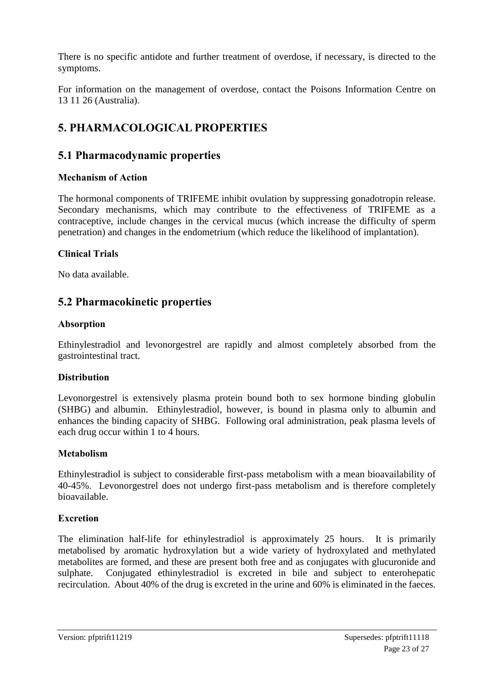There is no specific antidote and further treatment of overdose, if necessary, is directed to the symptoms.

For information on the management of overdose, contact the Poisons Information Centre on 13 11 26 (Australia).

## **5. PHARMACOLOGICAL PROPERTIES**

## **5.1 Pharmacodynamic properties**

## **Mechanism of Action**

The hormonal components of TRIFEME inhibit ovulation by suppressing gonadotropin release. Secondary mechanisms, which may contribute to the effectiveness of TRIFEME as a contraceptive, include changes in the cervical mucus (which increase the difficulty of sperm penetration) and changes in the endometrium (which reduce the likelihood of implantation).

## **Clinical Trials**

No data available.

## **5.2 Pharmacokinetic properties**

#### **Absorption**

Ethinylestradiol and levonorgestrel are rapidly and almost completely absorbed from the gastrointestinal tract.

## **Distribution**

Levonorgestrel is extensively plasma protein bound both to sex hormone binding globulin (SHBG) and albumin. Ethinylestradiol, however, is bound in plasma only to albumin and enhances the binding capacity of SHBG. Following oral administration, peak plasma levels of each drug occur within 1 to 4 hours.

## **Metabolism**

Ethinylestradiol is subject to considerable first-pass metabolism with a mean bioavailability of 40-45%. Levonorgestrel does not undergo first-pass metabolism and is therefore completely bioavailable.

#### **Excretion**

The elimination half-life for ethinylestradiol is approximately 25 hours. It is primarily metabolised by aromatic hydroxylation but a wide variety of hydroxylated and methylated metabolites are formed, and these are present both free and as conjugates with glucuronide and sulphate. Conjugated ethinylestradiol is excreted in bile and subject to enterohepatic recirculation. About 40% of the drug is excreted in the urine and 60% is eliminated in the faeces.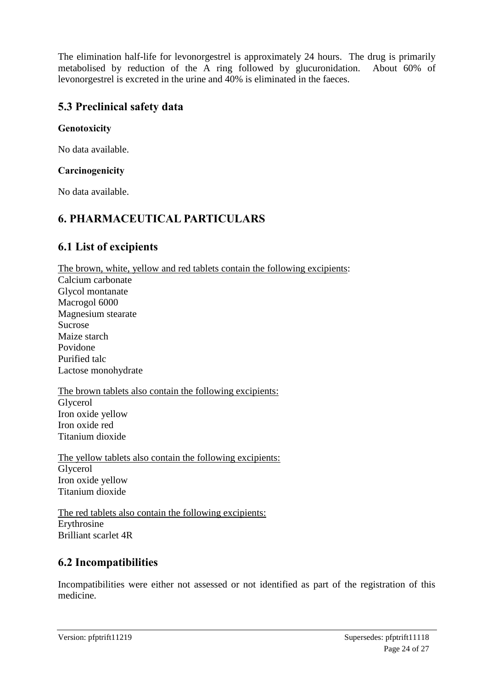The elimination half-life for levonorgestrel is approximately 24 hours. The drug is primarily metabolised by reduction of the A ring followed by glucuronidation. About 60% of levonorgestrel is excreted in the urine and 40% is eliminated in the faeces.

## **5.3 Preclinical safety data**

#### **Genotoxicity**

No data available.

#### **Carcinogenicity**

No data available.

## **6. PHARMACEUTICAL PARTICULARS**

## **6.1 List of excipients**

The brown, white, yellow and red tablets contain the following excipients: Calcium carbonate Glycol montanate Macrogol 6000 Magnesium stearate Sucrose Maize starch Povidone Purified talc Lactose monohydrate The brown tablets also contain the following excipients: Glycerol

Iron oxide yellow Iron oxide red Titanium dioxide

The yellow tablets also contain the following excipients: Glycerol Iron oxide yellow Titanium dioxide

The red tablets also contain the following excipients: Erythrosine Brilliant scarlet 4R

## **6.2 Incompatibilities**

Incompatibilities were either not assessed or not identified as part of the registration of this medicine.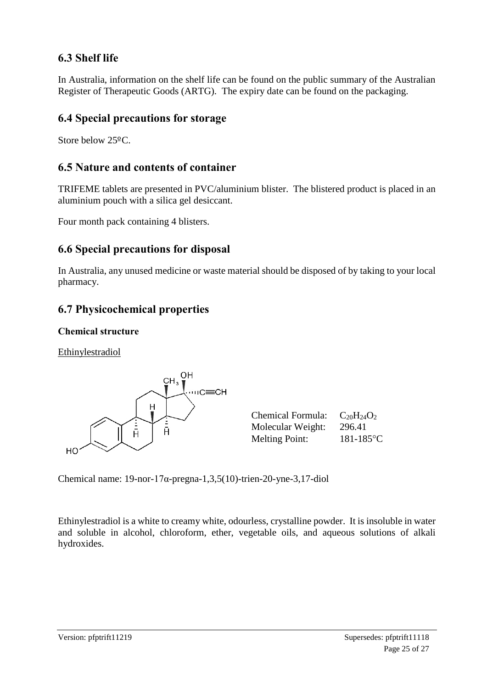## **6.3 Shelf life**

In Australia, information on the shelf life can be found on the public summary of the Australian Register of Therapeutic Goods (ARTG). The expiry date can be found on the packaging.

## **6.4 Special precautions for storage**

Store below 25ºC.

## **6.5 Nature and contents of container**

TRIFEME tablets are presented in PVC/aluminium blister. The blistered product is placed in an aluminium pouch with a silica gel desiccant.

Four month pack containing 4 blisters.

## **6.6 Special precautions for disposal**

In Australia, any unused medicine or waste material should be disposed of by taking to your local pharmacy.

## **6.7 Physicochemical properties**

## **Chemical structure**

Ethinylestradiol



| <b>Chemical Formula:</b> | $C_{20}H_{24}O_2$ |
|--------------------------|-------------------|
| Molecular Weight:        | 296.41            |
| <b>Melting Point:</b>    | $181 - 185$ °C    |

Chemical name: 19-nor-17α-pregna-1,3,5(10)-trien-20-yne-3,17-diol

Ethinylestradiol is a white to creamy white, odourless, crystalline powder. It is insoluble in water and soluble in alcohol, chloroform, ether, vegetable oils, and aqueous solutions of alkali hydroxides.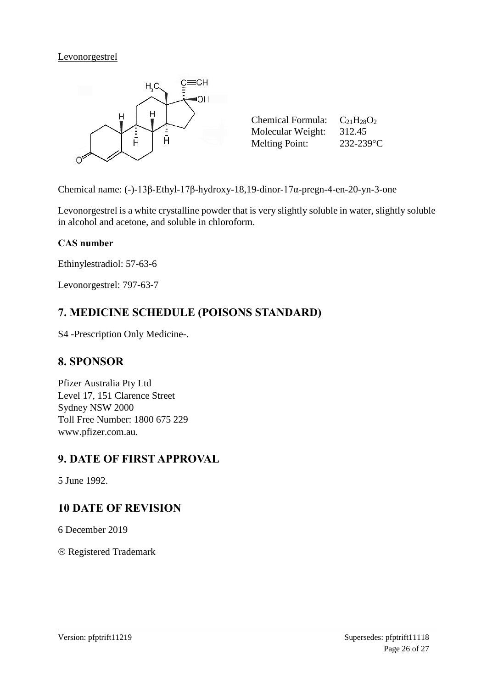#### Levonorgestrel



Chemical name: (-)-13β-Ethyl-17β-hydroxy-18,19-dinor-17α-pregn-4-en-20-yn-3-one

Levonorgestrel is a white crystalline powder that is very slightly soluble in water, slightly soluble in alcohol and acetone, and soluble in chloroform.

#### **CAS number**

Ethinylestradiol: 57-63-6

Levonorgestrel: 797-63-7

## **7. MEDICINE SCHEDULE (POISONS STANDARD)**

S4 -Prescription Only Medicine-.

## **8. SPONSOR**

Pfizer Australia Pty Ltd Level 17, 151 Clarence Street Sydney NSW 2000 Toll Free Number: 1800 675 229 www.pfizer.com.au.

## **9. DATE OF FIRST APPROVAL**

5 June 1992.

## **10 DATE OF REVISION**

6 December 2019

Registered Trademark